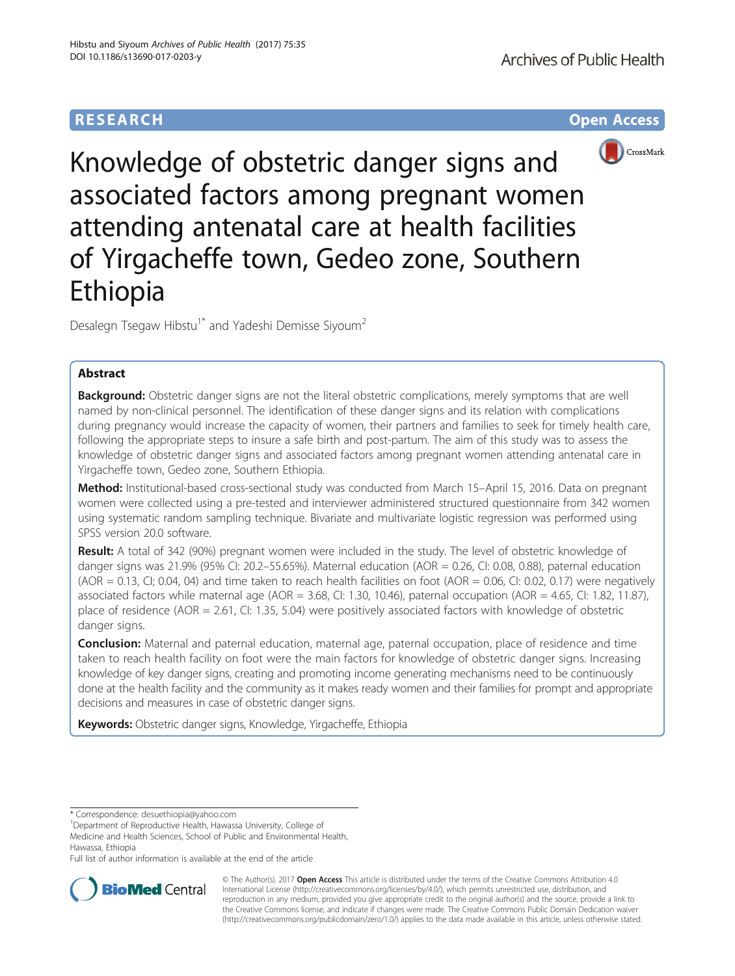

Knowledge of obstetric danger signs and associated factors among pregnant women attending antenatal care at health facilities of Yirgacheffe town, Gedeo zone, Southern Ethiopia

Desalegn Tsegaw Hibstu<sup>1\*</sup> and Yadeshi Demisse Siyoum<sup>2</sup>

# Abstract

Background: Obstetric danger signs are not the literal obstetric complications, merely symptoms that are well named by non-clinical personnel. The identification of these danger signs and its relation with complications during pregnancy would increase the capacity of women, their partners and families to seek for timely health care, following the appropriate steps to insure a safe birth and post-partum. The aim of this study was to assess the knowledge of obstetric danger signs and associated factors among pregnant women attending antenatal care in Yirgacheffe town, Gedeo zone, Southern Ethiopia.

Method: Institutional-based cross-sectional study was conducted from March 15–April 15, 2016. Data on pregnant women were collected using a pre-tested and interviewer administered structured questionnaire from 342 women using systematic random sampling technique. Bivariate and multivariate logistic regression was performed using SPSS version 20.0 software.

Result: A total of 342 (90%) pregnant women were included in the study. The level of obstetric knowledge of danger signs was 21.9% (95% CI: 20.2–55.65%). Maternal education (AOR = 0.26, CI: 0.08, 0.88), paternal education  $(AOR = 0.13, Cl; 0.04, 04)$  and time taken to reach health facilities on foot  $(AOR = 0.06, Cl: 0.02, 0.17)$  were negatively associated factors while maternal age (AOR = 3.68, CI: 1.30, 10.46), paternal occupation (AOR = 4.65, CI: 1.82, 11.87), place of residence (AOR = 2.61, CI: 1.35, 5.04) were positively associated factors with knowledge of obstetric danger signs.

**Conclusion:** Maternal and paternal education, maternal age, paternal occupation, place of residence and time taken to reach health facility on foot were the main factors for knowledge of obstetric danger signs. Increasing knowledge of key danger signs, creating and promoting income generating mechanisms need to be continuously done at the health facility and the community as it makes ready women and their families for prompt and appropriate decisions and measures in case of obstetric danger signs.

Keywords: Obstetric danger signs, Knowledge, Yirgacheffe, Ethiopia

<sup>1</sup>Department of Reproductive Health, Hawassa University, College of

Medicine and Health Sciences, School of Public and Environmental Health, Hawassa, Ethiopia

Full list of author information is available at the end of the article



© The Author(s). 2017 **Open Access** This article is distributed under the terms of the Creative Commons Attribution 4.0 International License [\(http://creativecommons.org/licenses/by/4.0/](http://creativecommons.org/licenses/by/4.0/)), which permits unrestricted use, distribution, and reproduction in any medium, provided you give appropriate credit to the original author(s) and the source, provide a link to the Creative Commons license, and indicate if changes were made. The Creative Commons Public Domain Dedication waiver [\(http://creativecommons.org/publicdomain/zero/1.0/](http://creativecommons.org/publicdomain/zero/1.0/)) applies to the data made available in this article, unless otherwise stated.

<sup>\*</sup> Correspondence: [desuethiopia@yahoo.com](mailto:desuethiopia@yahoo.com) <sup>1</sup>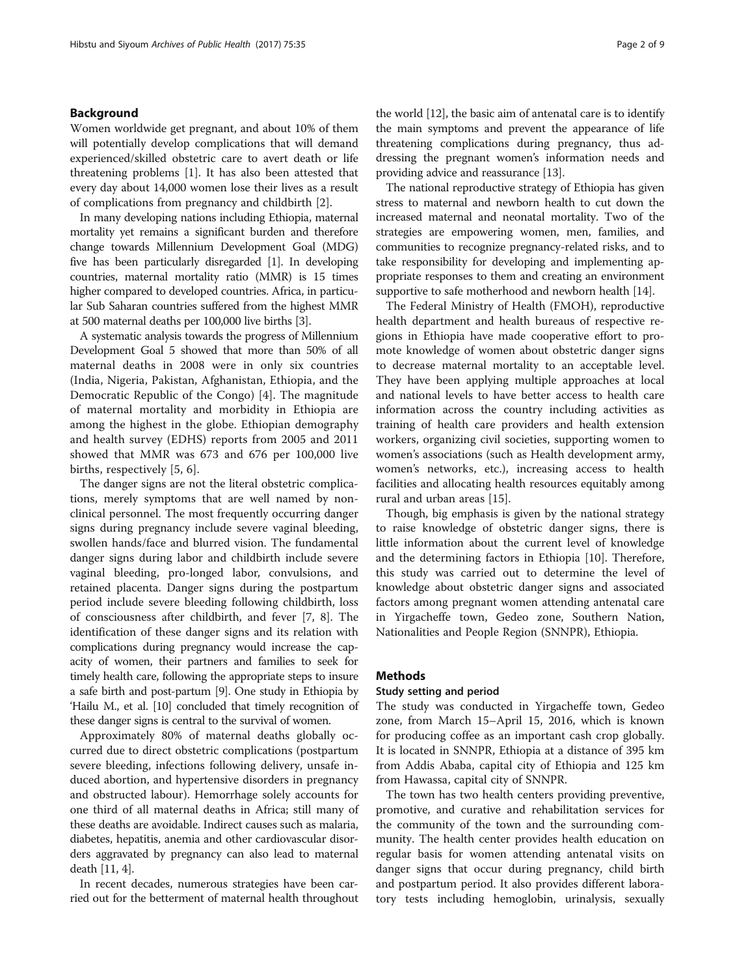# Background

Women worldwide get pregnant, and about 10% of them will potentially develop complications that will demand experienced/skilled obstetric care to avert death or life threatening problems [[1\]](#page-7-0). It has also been attested that every day about 14,000 women lose their lives as a result of complications from pregnancy and childbirth [\[2](#page-7-0)].

In many developing nations including Ethiopia, maternal mortality yet remains a significant burden and therefore change towards Millennium Development Goal (MDG) five has been particularly disregarded [[1\]](#page-7-0). In developing countries, maternal mortality ratio (MMR) is 15 times higher compared to developed countries. Africa, in particular Sub Saharan countries suffered from the highest MMR at 500 maternal deaths per 100,000 live births [\[3](#page-7-0)].

A systematic analysis towards the progress of Millennium Development Goal 5 showed that more than 50% of all maternal deaths in 2008 were in only six countries (India, Nigeria, Pakistan, Afghanistan, Ethiopia, and the Democratic Republic of the Congo) [[4\]](#page-7-0). The magnitude of maternal mortality and morbidity in Ethiopia are among the highest in the globe. Ethiopian demography and health survey (EDHS) reports from 2005 and 2011 showed that MMR was 673 and 676 per 100,000 live births, respectively [[5](#page-7-0), [6](#page-7-0)].

The danger signs are not the literal obstetric complications, merely symptoms that are well named by nonclinical personnel. The most frequently occurring danger signs during pregnancy include severe vaginal bleeding, swollen hands/face and blurred vision. The fundamental danger signs during labor and childbirth include severe vaginal bleeding, pro-longed labor, convulsions, and retained placenta. Danger signs during the postpartum period include severe bleeding following childbirth, loss of consciousness after childbirth, and fever [[7, 8\]](#page-7-0). The identification of these danger signs and its relation with complications during pregnancy would increase the capacity of women, their partners and families to seek for timely health care, following the appropriate steps to insure a safe birth and post-partum [\[9\]](#page-7-0). One study in Ethiopia by 'Hailu M., et al. [[10](#page-7-0)] concluded that timely recognition of these danger signs is central to the survival of women.

Approximately 80% of maternal deaths globally occurred due to direct obstetric complications (postpartum severe bleeding, infections following delivery, unsafe induced abortion, and hypertensive disorders in pregnancy and obstructed labour). Hemorrhage solely accounts for one third of all maternal deaths in Africa; still many of these deaths are avoidable. Indirect causes such as malaria, diabetes, hepatitis, anemia and other cardiovascular disorders aggravated by pregnancy can also lead to maternal death [\[11](#page-7-0), [4\]](#page-7-0).

In recent decades, numerous strategies have been carried out for the betterment of maternal health throughout the world [\[12](#page-7-0)], the basic aim of antenatal care is to identify the main symptoms and prevent the appearance of life threatening complications during pregnancy, thus addressing the pregnant women's information needs and providing advice and reassurance [[13\]](#page-7-0).

The national reproductive strategy of Ethiopia has given stress to maternal and newborn health to cut down the increased maternal and neonatal mortality. Two of the strategies are empowering women, men, families, and communities to recognize pregnancy-related risks, and to take responsibility for developing and implementing appropriate responses to them and creating an environment supportive to safe motherhood and newborn health [\[14\]](#page-7-0).

The Federal Ministry of Health (FMOH), reproductive health department and health bureaus of respective regions in Ethiopia have made cooperative effort to promote knowledge of women about obstetric danger signs to decrease maternal mortality to an acceptable level. They have been applying multiple approaches at local and national levels to have better access to health care information across the country including activities as training of health care providers and health extension workers, organizing civil societies, supporting women to women's associations (such as Health development army, women's networks, etc.), increasing access to health facilities and allocating health resources equitably among rural and urban areas [[15\]](#page-7-0).

Though, big emphasis is given by the national strategy to raise knowledge of obstetric danger signs, there is little information about the current level of knowledge and the determining factors in Ethiopia [\[10](#page-7-0)]. Therefore, this study was carried out to determine the level of knowledge about obstetric danger signs and associated factors among pregnant women attending antenatal care in Yirgacheffe town, Gedeo zone, Southern Nation, Nationalities and People Region (SNNPR), Ethiopia.

### Methods

#### Study setting and period

The study was conducted in Yirgacheffe town, Gedeo zone, from March 15–April 15, 2016, which is known for producing coffee as an important cash crop globally. It is located in SNNPR, Ethiopia at a distance of 395 km from Addis Ababa, capital city of Ethiopia and 125 km from Hawassa, capital city of SNNPR.

The town has two health centers providing preventive, promotive, and curative and rehabilitation services for the community of the town and the surrounding community. The health center provides health education on regular basis for women attending antenatal visits on danger signs that occur during pregnancy, child birth and postpartum period. It also provides different laboratory tests including hemoglobin, urinalysis, sexually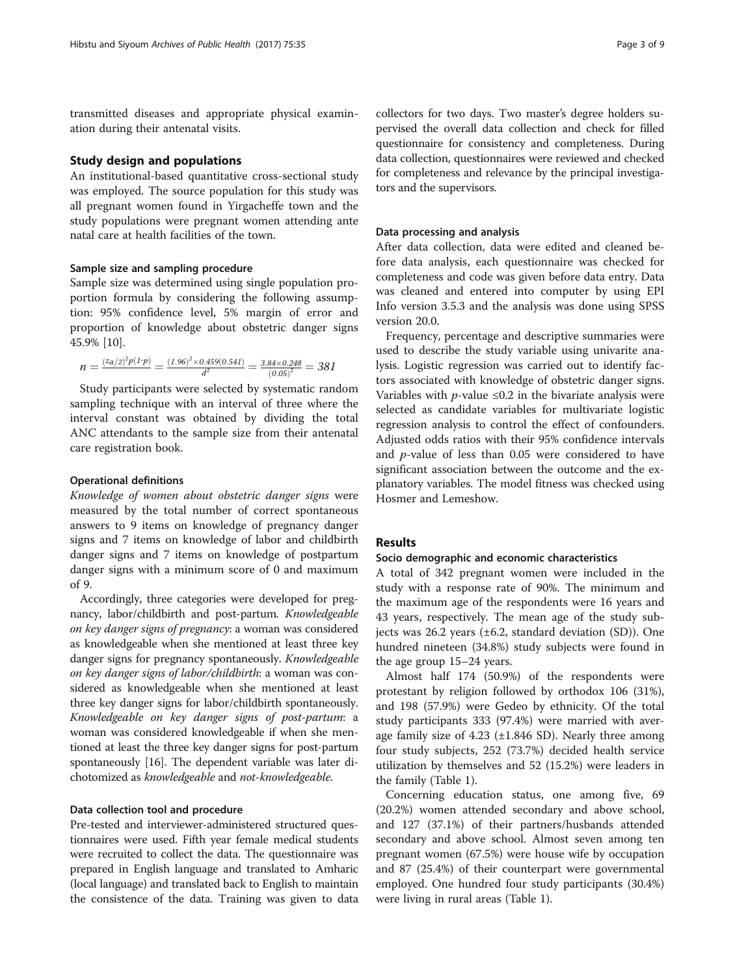transmitted diseases and appropriate physical examination during their antenatal visits.

### Study design and populations

An institutional-based quantitative cross-sectional study was employed. The source population for this study was all pregnant women found in Yirgacheffe town and the study populations were pregnant women attending ante natal care at health facilities of the town.

#### Sample size and sampling procedure

Sample size was determined using single population proportion formula by considering the following assumption: 95% confidence level, 5% margin of error and proportion of knowledge about obstetric danger signs 45.9% [[10](#page-7-0)].

$$
n = \frac{(z_{\alpha/2})^2 p(1-p)}{a^2} = \frac{(1.96)^2 \times 0.459(0.541)}{a^2} = \frac{3.84 \times 0.248}{(0.05)^2} = 381
$$

Study participants were selected by systematic random sampling technique with an interval of three where the interval constant was obtained by dividing the total ANC attendants to the sample size from their antenatal care registration book.

### Operational definitions

Knowledge of women about obstetric danger signs were measured by the total number of correct spontaneous answers to 9 items on knowledge of pregnancy danger signs and 7 items on knowledge of labor and childbirth danger signs and 7 items on knowledge of postpartum danger signs with a minimum score of 0 and maximum of 9.

Accordingly, three categories were developed for pregnancy, labor/childbirth and post-partum. Knowledgeable on key danger signs of pregnancy: a woman was considered as knowledgeable when she mentioned at least three key danger signs for pregnancy spontaneously. Knowledgeable on key danger signs of labor/childbirth: a woman was considered as knowledgeable when she mentioned at least three key danger signs for labor/childbirth spontaneously. Knowledgeable on key danger signs of post-partum: a woman was considered knowledgeable if when she mentioned at least the three key danger signs for post-partum spontaneously [\[16](#page-7-0)]. The dependent variable was later dichotomized as knowledgeable and not-knowledgeable.

### Data collection tool and procedure

Pre-tested and interviewer-administered structured questionnaires were used. Fifth year female medical students were recruited to collect the data. The questionnaire was prepared in English language and translated to Amharic (local language) and translated back to English to maintain the consistence of the data. Training was given to data

collectors for two days. Two master's degree holders supervised the overall data collection and check for filled questionnaire for consistency and completeness. During data collection, questionnaires were reviewed and checked for completeness and relevance by the principal investigators and the supervisors.

### Data processing and analysis

After data collection, data were edited and cleaned before data analysis, each questionnaire was checked for completeness and code was given before data entry. Data was cleaned and entered into computer by using EPI Info version 3.5.3 and the analysis was done using SPSS version 20.0.

Frequency, percentage and descriptive summaries were used to describe the study variable using univarite analysis. Logistic regression was carried out to identify factors associated with knowledge of obstetric danger signs. Variables with *p*-value  $\leq 0.2$  in the bivariate analysis were selected as candidate variables for multivariate logistic regression analysis to control the effect of confounders. Adjusted odds ratios with their 95% confidence intervals and p-value of less than 0.05 were considered to have significant association between the outcome and the explanatory variables. The model fitness was checked using Hosmer and Lemeshow.

### Results

#### Socio demographic and economic characteristics

A total of 342 pregnant women were included in the study with a response rate of 90%. The minimum and the maximum age of the respondents were 16 years and 43 years, respectively. The mean age of the study subjects was 26.2 years (±6.2, standard deviation (SD)). One hundred nineteen (34.8%) study subjects were found in the age group 15–24 years.

Almost half 174 (50.9%) of the respondents were protestant by religion followed by orthodox 106 (31%), and 198 (57.9%) were Gedeo by ethnicity. Of the total study participants 333 (97.4%) were married with average family size of  $4.23$  ( $\pm 1.846$  SD). Nearly three among four study subjects, 252 (73.7%) decided health service utilization by themselves and 52 (15.2%) were leaders in the family (Table [1\)](#page-3-0).

Concerning education status, one among five, 69 (20.2%) women attended secondary and above school, and 127 (37.1%) of their partners/husbands attended secondary and above school. Almost seven among ten pregnant women (67.5%) were house wife by occupation and 87 (25.4%) of their counterpart were governmental employed. One hundred four study participants (30.4%) were living in rural areas (Table [1\)](#page-3-0).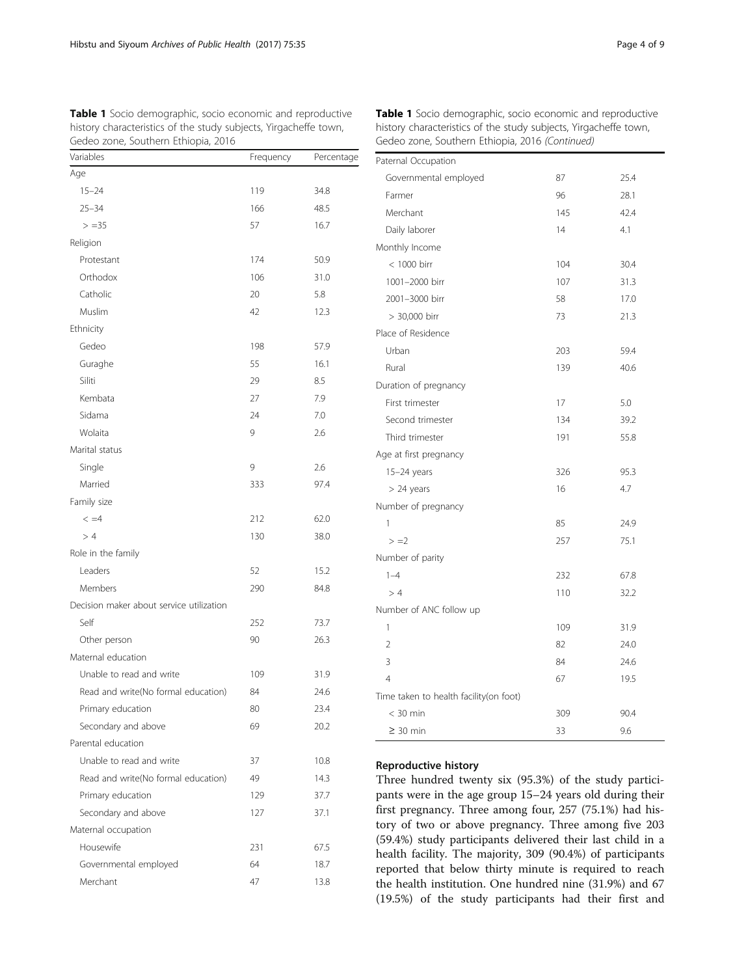<span id="page-3-0"></span>Table 1 Socio demographic, socio economic and reproductive history characteristics of the study subjects, Yirgacheffe town, Gedeo zone, Southern Ethiopia, 2016

| Variables                                | Frequency | Percentage |
|------------------------------------------|-----------|------------|
| Age                                      |           |            |
| $15 - 24$                                | 119       | 34.8       |
| $25 - 34$                                | 166       | 48.5       |
| $> = 35$                                 | 57        | 16.7       |
| Religion                                 |           |            |
| Protestant                               | 174       | 50.9       |
| Orthodox                                 | 106       | 31.0       |
| Catholic                                 | 20        | 5.8        |
| Muslim                                   | 42        | 12.3       |
| Ethnicity                                |           |            |
| Gedeo                                    | 198       | 57.9       |
| Guraghe                                  | 55        | 16.1       |
| Siliti                                   | 29        | 8.5        |
| Kembata                                  | 27        | 7.9        |
| Sidama                                   | 24        | 7.0        |
| Wolaita                                  | 9         | 2.6        |
| Marital status                           |           |            |
| Single                                   | 9         | 2.6        |
| Married                                  | 333       | 97.4       |
| Family size                              |           |            |
| $\leq$ =4                                | 212       | 62.0       |
| >4                                       | 130       | 38.0       |
| Role in the family                       |           |            |
| Leaders                                  | 52        | 15.2       |
| Members                                  | 290       | 84.8       |
| Decision maker about service utilization |           |            |
| Self                                     | 252       | 73.7       |
| Other person                             | 90        | 26.3       |
| Maternal education                       |           |            |
| Unable to read and write                 | 109       | 31.9       |
| Read and write(No formal education)      | 84        | 24.6       |
| Primary education                        | 80        | 23.4       |
| Secondary and above                      | 69        | 20.2       |
| Parental education                       |           |            |
| Unable to read and write                 | 37        | 10.8       |
| Read and write(No formal education)      | 49        | 14.3       |
| Primary education                        | 129       | 37.7       |
| Secondary and above                      | 127       | 37.1       |
| Maternal occupation                      |           |            |
| Housewife                                | 231       | 67.5       |
| Governmental employed                    | 64        | 18.7       |
| Merchant                                 | 47        | 13.8       |

Table 1 Socio demographic, socio economic and reproductive history characteristics of the study subjects, Yirgacheffe town, Gedeo zone, Southern Ethiopia, 2016 (Continued)

| Paternal Occupation                    |     |      |
|----------------------------------------|-----|------|
| Governmental employed                  | 87  | 25.4 |
| Farmer                                 | 96  | 28.1 |
| Merchant                               | 145 | 42.4 |
| Daily laborer                          | 14  | 4.1  |
| Monthly Income                         |     |      |
| < 1000 birr                            | 104 | 30.4 |
| 1001-2000 birr                         | 107 | 31.3 |
| 2001-3000 birr                         | 58  | 17.0 |
| > 30,000 birr                          | 73  | 21.3 |
| Place of Residence                     |     |      |
| Urban                                  | 203 | 59.4 |
| Rural                                  | 139 | 40.6 |
| Duration of pregnancy                  |     |      |
| First trimester                        | 17  | 5.0  |
| Second trimester                       | 134 | 39.2 |
| Third trimester                        | 191 | 55.8 |
| Age at first pregnancy                 |     |      |
| 15-24 years                            | 326 | 95.3 |
| $> 24$ years                           | 16  | 4.7  |
| Number of pregnancy                    |     |      |
| 1                                      | 85  | 24.9 |
| $> = 2$                                | 257 | 75.1 |
| Number of parity                       |     |      |
| $1 - 4$                                | 232 | 67.8 |
| >4                                     | 110 | 32.2 |
| Number of ANC follow up                |     |      |
| 1                                      | 109 | 31.9 |
| $\overline{2}$                         | 82  | 24.0 |
| 3                                      | 84  | 24.6 |
| $\overline{4}$                         | 67  | 19.5 |
| Time taken to health facility(on foot) |     |      |
| $<$ 30 min                             | 309 | 90.4 |
| $\geq$ 30 min                          | 33  | 9.6  |

# Reproductive history

Three hundred twenty six (95.3%) of the study participants were in the age group 15–24 years old during their first pregnancy. Three among four, 257 (75.1%) had history of two or above pregnancy. Three among five 203 (59.4%) study participants delivered their last child in a health facility. The majority, 309 (90.4%) of participants reported that below thirty minute is required to reach the health institution. One hundred nine (31.9%) and 67 (19.5%) of the study participants had their first and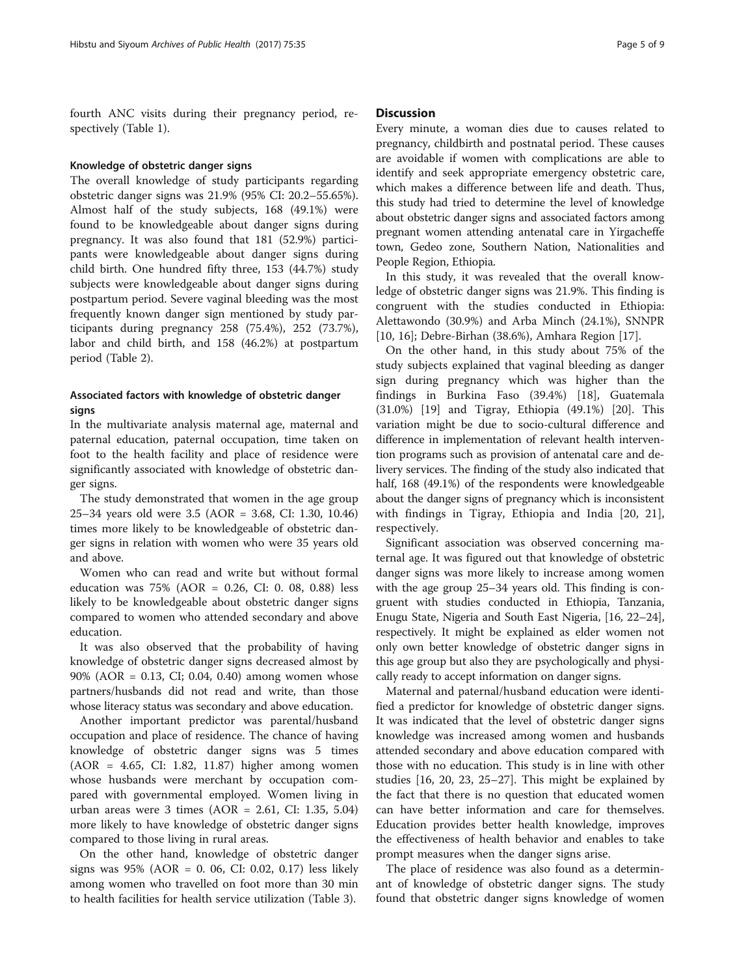fourth ANC visits during their pregnancy period, respectively (Table [1](#page-3-0)).

### Knowledge of obstetric danger signs

The overall knowledge of study participants regarding obstetric danger signs was 21.9% (95% CI: 20.2–55.65%). Almost half of the study subjects, 168 (49.1%) were found to be knowledgeable about danger signs during pregnancy. It was also found that 181 (52.9%) participants were knowledgeable about danger signs during child birth. One hundred fifty three, 153 (44.7%) study subjects were knowledgeable about danger signs during postpartum period. Severe vaginal bleeding was the most frequently known danger sign mentioned by study participants during pregnancy 258 (75.4%), 252 (73.7%), labor and child birth, and 158 (46.2%) at postpartum period (Table [2](#page-5-0)).

# Associated factors with knowledge of obstetric danger signs

In the multivariate analysis maternal age, maternal and paternal education, paternal occupation, time taken on foot to the health facility and place of residence were significantly associated with knowledge of obstetric danger signs.

The study demonstrated that women in the age group 25–34 years old were 3.5 (AOR = 3.68, CI: 1.30, 10.46) times more likely to be knowledgeable of obstetric danger signs in relation with women who were 35 years old and above.

Women who can read and write but without formal education was 75% (AOR = 0.26, CI: 0. 08, 0.88) less likely to be knowledgeable about obstetric danger signs compared to women who attended secondary and above education.

It was also observed that the probability of having knowledge of obstetric danger signs decreased almost by 90% (AOR = 0.13, CI; 0.04, 0.40) among women whose partners/husbands did not read and write, than those whose literacy status was secondary and above education.

Another important predictor was parental/husband occupation and place of residence. The chance of having knowledge of obstetric danger signs was 5 times (AOR = 4.65, CI: 1.82, 11.87) higher among women whose husbands were merchant by occupation compared with governmental employed. Women living in urban areas were 3 times  $(AOR = 2.61, CI: 1.35, 5.04)$ more likely to have knowledge of obstetric danger signs compared to those living in rural areas.

On the other hand, knowledge of obstetric danger signs was 95% (AOR = 0. 06, CI: 0.02, 0.17) less likely among women who travelled on foot more than 30 min to health facilities for health service utilization (Table [3](#page-6-0)).

# **Discussion**

Every minute, a woman dies due to causes related to pregnancy, childbirth and postnatal period. These causes are avoidable if women with complications are able to identify and seek appropriate emergency obstetric care, which makes a difference between life and death. Thus, this study had tried to determine the level of knowledge about obstetric danger signs and associated factors among pregnant women attending antenatal care in Yirgacheffe town, Gedeo zone, Southern Nation, Nationalities and People Region, Ethiopia.

In this study, it was revealed that the overall knowledge of obstetric danger signs was 21.9%. This finding is congruent with the studies conducted in Ethiopia: Alettawondo (30.9%) and Arba Minch (24.1%), SNNPR [[10, 16\]](#page-7-0); Debre-Birhan (38.6%), Amhara Region [[17](#page-7-0)].

On the other hand, in this study about 75% of the study subjects explained that vaginal bleeding as danger sign during pregnancy which was higher than the findings in Burkina Faso (39.4%) [[18\]](#page-7-0), Guatemala (31.0%) [\[19](#page-7-0)] and Tigray, Ethiopia (49.1%) [\[20\]](#page-7-0). This variation might be due to socio-cultural difference and difference in implementation of relevant health intervention programs such as provision of antenatal care and delivery services. The finding of the study also indicated that half, 168 (49.1%) of the respondents were knowledgeable about the danger signs of pregnancy which is inconsistent with findings in Tigray, Ethiopia and India [[20,](#page-7-0) [21](#page-8-0)], respectively.

Significant association was observed concerning maternal age. It was figured out that knowledge of obstetric danger signs was more likely to increase among women with the age group 25–34 years old. This finding is congruent with studies conducted in Ethiopia, Tanzania, Enugu State, Nigeria and South East Nigeria, [\[16,](#page-7-0) [22](#page-8-0)–[24](#page-8-0)], respectively. It might be explained as elder women not only own better knowledge of obstetric danger signs in this age group but also they are psychologically and physically ready to accept information on danger signs.

Maternal and paternal/husband education were identified a predictor for knowledge of obstetric danger signs. It was indicated that the level of obstetric danger signs knowledge was increased among women and husbands attended secondary and above education compared with those with no education. This study is in line with other studies [\[16, 20,](#page-7-0) [23, 25](#page-8-0)–[27](#page-8-0)]. This might be explained by the fact that there is no question that educated women can have better information and care for themselves. Education provides better health knowledge, improves the effectiveness of health behavior and enables to take prompt measures when the danger signs arise.

The place of residence was also found as a determinant of knowledge of obstetric danger signs. The study found that obstetric danger signs knowledge of women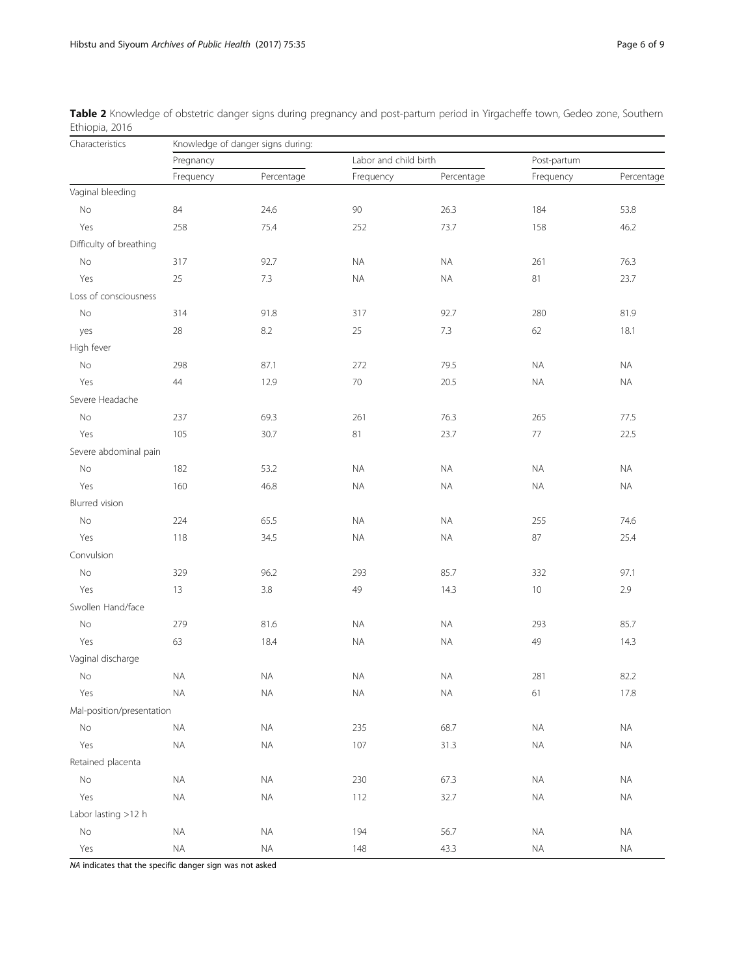| Characteristics           |           | Knowledge of danger signs during: |                       |            |             |            |  |  |
|---------------------------|-----------|-----------------------------------|-----------------------|------------|-------------|------------|--|--|
|                           | Pregnancy |                                   | Labor and child birth |            | Post-partum |            |  |  |
|                           | Frequency | Percentage                        | Frequency             | Percentage | Frequency   | Percentage |  |  |
| Vaginal bleeding          |           |                                   |                       |            |             |            |  |  |
| No                        | 84        | 24.6                              | $90\,$                | 26.3       | 184         | 53.8       |  |  |
| Yes                       | 258       | 75.4                              | 252                   | 73.7       | 158         | 46.2       |  |  |
| Difficulty of breathing   |           |                                   |                       |            |             |            |  |  |
| No                        | 317       | 92.7                              | $\sf NA$              | $\sf NA$   | 261         | 76.3       |  |  |
| Yes                       | 25        | 7.3                               | $\sf NA$              | $\sf NA$   | 81          | 23.7       |  |  |
| Loss of consciousness     |           |                                   |                       |            |             |            |  |  |
| No                        | 314       | 91.8                              | 317                   | 92.7       | 280         | 81.9       |  |  |
| yes                       | 28        | 8.2                               | 25                    | 7.3        | 62          | 18.1       |  |  |
| High fever                |           |                                   |                       |            |             |            |  |  |
| $\rm No$                  | 298       | 87.1                              | 272                   | 79.5       | <b>NA</b>   | <b>NA</b>  |  |  |
| Yes                       | $44\,$    | 12.9                              | $70\,$                | 20.5       | <b>NA</b>   | $\sf NA$   |  |  |
| Severe Headache           |           |                                   |                       |            |             |            |  |  |
| $\rm No$                  | 237       | 69.3                              | 261                   | 76.3       | 265         | 77.5       |  |  |
| Yes                       | 105       | 30.7                              | 81                    | 23.7       | 77          | 22.5       |  |  |
| Severe abdominal pain     |           |                                   |                       |            |             |            |  |  |
| $\rm No$                  | 182       | 53.2                              | $\sf NA$              | $\sf NA$   | <b>NA</b>   | <b>NA</b>  |  |  |
| Yes                       | 160       | 46.8                              | <b>NA</b>             | $\sf NA$   | <b>NA</b>   | $\sf NA$   |  |  |
| <b>Blurred</b> vision     |           |                                   |                       |            |             |            |  |  |
| $\rm No$                  | 224       | 65.5                              | $\sf NA$              | $\sf NA$   | 255         | 74.6       |  |  |
| Yes                       | 118       | 34.5                              | <b>NA</b>             | $\sf NA$   | 87          | 25.4       |  |  |
| Convulsion                |           |                                   |                       |            |             |            |  |  |
| $\rm No$                  | 329       | 96.2                              | 293                   | 85.7       | 332         | 97.1       |  |  |
| Yes                       | 13        | 3.8                               | 49                    | 14.3       | 10          | 2.9        |  |  |
| Swollen Hand/face         |           |                                   |                       |            |             |            |  |  |
| $\rm No$                  | 279       | 81.6                              | $\sf NA$              | $\sf NA$   | 293         | 85.7       |  |  |
| Yes                       | 63        | 18.4                              | <b>NA</b>             | $\sf NA$   | 49          | 14.3       |  |  |
| Vaginal discharge         |           |                                   |                       |            |             |            |  |  |
| No                        | <b>NA</b> | <b>NA</b>                         | <b>NA</b>             | $\sf NA$   | 281         | 82.2       |  |  |
| Yes                       | <b>NA</b> | $\sf{NA}$                         | $\sf NA$              | $\sf NA$   | 61          | 17.8       |  |  |
| Mal-position/presentation |           |                                   |                       |            |             |            |  |  |
| No                        | <b>NA</b> | NA                                | 235                   | 68.7       | $\sf NA$    | $\sf NA$   |  |  |
| Yes                       | NA        | NA                                | 107                   | 31.3       | $\sf NA$    | $\sf NA$   |  |  |
| Retained placenta         |           |                                   |                       |            |             |            |  |  |
| $\mathsf{No}$             | <b>NA</b> | <b>NA</b>                         | 230                   | 67.3       | <b>NA</b>   | <b>NA</b>  |  |  |
| Yes                       | <b>NA</b> | $\sf{NA}$                         | 112                   | 32.7       | $\sf NA$    | $\sf NA$   |  |  |
| Labor lasting >12 h       |           |                                   |                       |            |             |            |  |  |
| No                        | <b>NA</b> | <b>NA</b>                         | 194                   | 56.7       | $\sf NA$    | <b>NA</b>  |  |  |
| Yes                       | $\sf NA$  | $\sf{NA}$                         | 148                   | 43.3       | $\sf NA$    | $\sf NA$   |  |  |

<span id="page-5-0"></span>Table 2 Knowledge of obstetric danger signs during pregnancy and post-partum period in Yirgacheffe town, Gedeo zone, Southern Ethiopia, 2016

NA indicates that the specific danger sign was not asked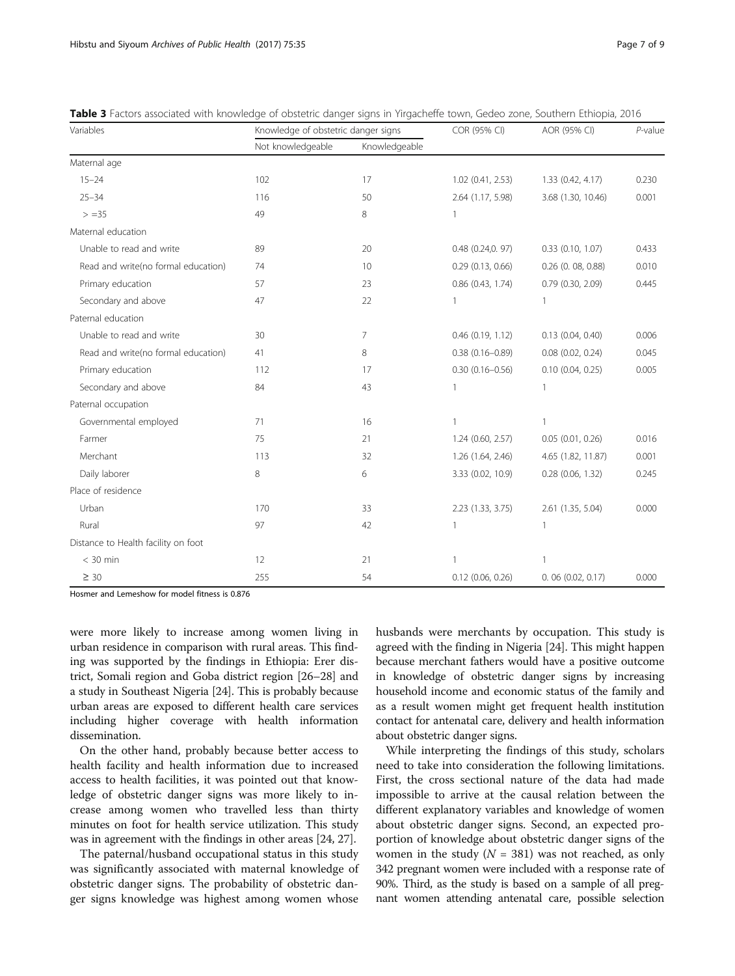| Variables                           | Knowledge of obstetric danger signs |               | COR (95% CI)          | AOR (95% CI)          | $P$ -value |
|-------------------------------------|-------------------------------------|---------------|-----------------------|-----------------------|------------|
|                                     | Not knowledgeable                   | Knowledgeable |                       |                       |            |
| Maternal age                        |                                     |               |                       |                       |            |
| $15 - 24$                           | 102                                 | 17            | $1.02$ (0.41, 2.53)   | 1.33 (0.42, 4.17)     | 0.230      |
| $25 - 34$                           | 116                                 | 50            | 2.64 (1.17, 5.98)     | 3.68 (1.30, 10.46)    | 0.001      |
| $> = 35$                            | 49                                  | 8             | $\mathbf{1}$          |                       |            |
| Maternal education                  |                                     |               |                       |                       |            |
| Unable to read and write            | 89                                  | 20            | $0.48$ $(0.24, 0.97)$ | $0.33$ $(0.10, 1.07)$ | 0.433      |
| Read and write(no formal education) | 74                                  | 10            | 0.29(0.13, 0.66)      | 0.26 (0.08, 0.88)     | 0.010      |
| Primary education                   | 57                                  | 23            | $0.86$ $(0.43, 1.74)$ | 0.79(0.30, 2.09)      | 0.445      |
| Secondary and above                 | 47                                  | 22            | $\mathbf{1}$          | 1                     |            |
| Paternal education                  |                                     |               |                       |                       |            |
| Unable to read and write            | 30                                  | 7             | $0.46$ (0.19, 1.12)   | $0.13$ $(0.04, 0.40)$ | 0.006      |
| Read and write(no formal education) | 41                                  | 8             | $0.38(0.16 - 0.89)$   | $0.08$ $(0.02, 0.24)$ | 0.045      |
| Primary education                   | 112                                 | 17            | $0.30(0.16 - 0.56)$   | $0.10$ $(0.04, 0.25)$ | 0.005      |
| Secondary and above                 | 84                                  | 43            | 1                     | 1                     |            |
| Paternal occupation                 |                                     |               |                       |                       |            |
| Governmental employed               | 71                                  | 16            | $\mathbf{1}$          | 1                     |            |
| Farmer                              | 75                                  | 21            | 1.24 (0.60, 2.57)     | $0.05$ $(0.01, 0.26)$ | 0.016      |
| Merchant                            | 113                                 | 32            | 1.26 (1.64, 2.46)     | 4.65 (1.82, 11.87)    | 0.001      |
| Daily laborer                       | 8                                   | 6             | 3.33 (0.02, 10.9)     | 0.28 (0.06, 1.32)     | 0.245      |
| Place of residence                  |                                     |               |                       |                       |            |
| Urban                               | 170                                 | 33            | 2.23 (1.33, 3.75)     | 2.61 (1.35, 5.04)     | 0.000      |
| Rural                               | 97                                  | 42            | $\mathbf{1}$          | 1                     |            |
| Distance to Health facility on foot |                                     |               |                       |                       |            |
| $< 30$ min                          | 12                                  | 21            | $\mathbf{1}$          | 1                     |            |
| $\geq 30$                           | 255                                 | 54            | $0.12$ (0.06, 0.26)   | 0.06(0.02, 0.17)      | 0.000      |

<span id="page-6-0"></span>Table 3 Factors associated with knowledge of obstetric danger signs in Yirgacheffe town, Gedeo zone, Southern Ethiopia, 2016

Hosmer and Lemeshow for model fitness is 0.876

were more likely to increase among women living in urban residence in comparison with rural areas. This finding was supported by the findings in Ethiopia: Erer district, Somali region and Goba district region [\[26](#page-8-0)–[28](#page-8-0)] and a study in Southeast Nigeria [[24\]](#page-8-0). This is probably because urban areas are exposed to different health care services including higher coverage with health information dissemination.

On the other hand, probably because better access to health facility and health information due to increased access to health facilities, it was pointed out that knowledge of obstetric danger signs was more likely to increase among women who travelled less than thirty minutes on foot for health service utilization. This study was in agreement with the findings in other areas [\[24](#page-8-0), [27](#page-8-0)].

The paternal/husband occupational status in this study was significantly associated with maternal knowledge of obstetric danger signs. The probability of obstetric danger signs knowledge was highest among women whose husbands were merchants by occupation. This study is agreed with the finding in Nigeria [\[24\]](#page-8-0). This might happen because merchant fathers would have a positive outcome in knowledge of obstetric danger signs by increasing household income and economic status of the family and as a result women might get frequent health institution contact for antenatal care, delivery and health information about obstetric danger signs.

While interpreting the findings of this study, scholars need to take into consideration the following limitations. First, the cross sectional nature of the data had made impossible to arrive at the causal relation between the different explanatory variables and knowledge of women about obstetric danger signs. Second, an expected proportion of knowledge about obstetric danger signs of the women in the study  $(N = 381)$  was not reached, as only 342 pregnant women were included with a response rate of 90%. Third, as the study is based on a sample of all pregnant women attending antenatal care, possible selection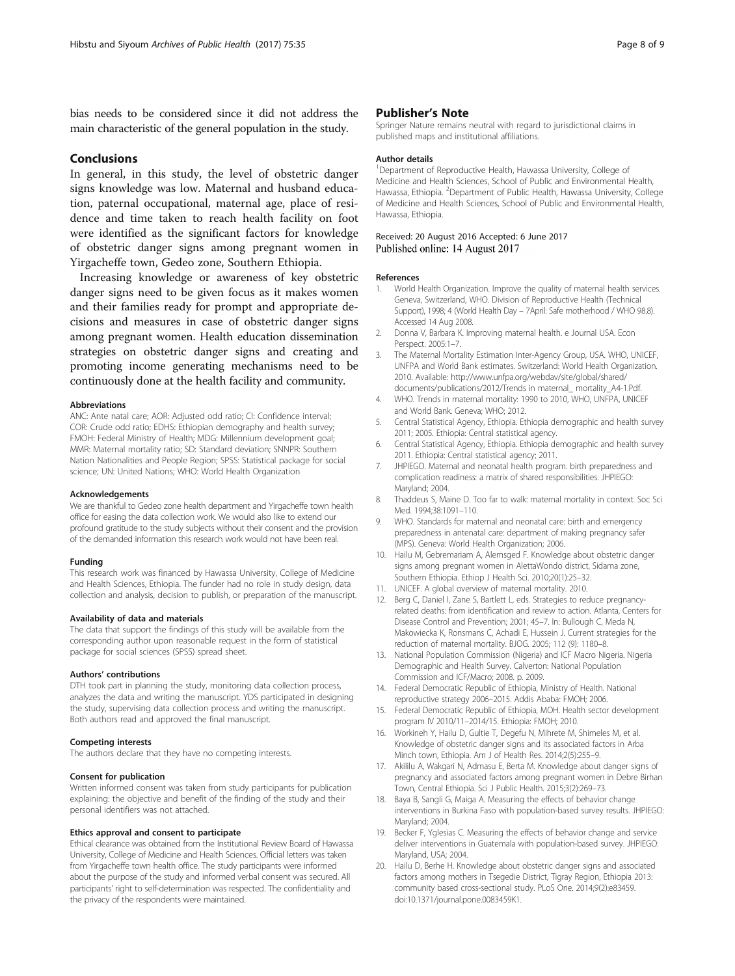<span id="page-7-0"></span>bias needs to be considered since it did not address the main characteristic of the general population in the study.

#### Conclusions

In general, in this study, the level of obstetric danger signs knowledge was low. Maternal and husband education, paternal occupational, maternal age, place of residence and time taken to reach health facility on foot were identified as the significant factors for knowledge of obstetric danger signs among pregnant women in Yirgacheffe town, Gedeo zone, Southern Ethiopia.

Increasing knowledge or awareness of key obstetric danger signs need to be given focus as it makes women and their families ready for prompt and appropriate decisions and measures in case of obstetric danger signs among pregnant women. Health education dissemination strategies on obstetric danger signs and creating and promoting income generating mechanisms need to be continuously done at the health facility and community.

#### Abbreviations

ANC: Ante natal care; AOR: Adjusted odd ratio; CI: Confidence interval; COR: Crude odd ratio; EDHS: Ethiopian demography and health survey; FMOH: Federal Ministry of Health; MDG: Millennium development goal; MMR: Maternal mortality ratio; SD: Standard deviation; SNNPR: Southern Nation Nationalities and People Region; SPSS: Statistical package for social science; UN: United Nations; WHO: World Health Organization

#### Acknowledgements

We are thankful to Gedeo zone health department and Yirgacheffe town health office for easing the data collection work. We would also like to extend our profound gratitude to the study subjects without their consent and the provision of the demanded information this research work would not have been real.

#### Funding

This research work was financed by Hawassa University, College of Medicine and Health Sciences, Ethiopia. The funder had no role in study design, data collection and analysis, decision to publish, or preparation of the manuscript.

#### Availability of data and materials

The data that support the findings of this study will be available from the corresponding author upon reasonable request in the form of statistical package for social sciences (SPSS) spread sheet.

#### Authors' contributions

DTH took part in planning the study, monitoring data collection process, analyzes the data and writing the manuscript. YDS participated in designing the study, supervising data collection process and writing the manuscript. Both authors read and approved the final manuscript.

#### Competing interests

The authors declare that they have no competing interests.

#### Consent for publication

Written informed consent was taken from study participants for publication explaining: the objective and benefit of the finding of the study and their personal identifiers was not attached.

## Ethics approval and consent to participate

Ethical clearance was obtained from the Institutional Review Board of Hawassa University, College of Medicine and Health Sciences. Official letters was taken from Yirgacheffe town health office. The study participants were informed about the purpose of the study and informed verbal consent was secured. All participants' right to self-determination was respected. The confidentiality and the privacy of the respondents were maintained.

# Publisher's Note

Springer Nature remains neutral with regard to jurisdictional claims in published maps and institutional affiliations.

#### Author details

<sup>1</sup>Department of Reproductive Health, Hawassa University, College of Medicine and Health Sciences, School of Public and Environmental Health, Hawassa, Ethiopia. <sup>2</sup>Department of Public Health, Hawassa University, College of Medicine and Health Sciences, School of Public and Environmental Health, Hawassa, Ethiopia.

#### Received: 20 August 2016 Accepted: 6 June 2017 Published online: 14 August 2017

#### References

- 1. World Health Organization. Improve the quality of maternal health services. Geneva, Switzerland, WHO. Division of Reproductive Health (Technical Support), 1998; 4 (World Health Day – 7April: Safe motherhood / WHO 98.8). Accessed 14 Aug 2008.
- 2. Donna V, Barbara K. Improving maternal health. e Journal USA. Econ Perspect. 2005:1–7.
- 3. The Maternal Mortality Estimation Inter-Agency Group, USA. WHO, UNICEF, UNFPA and World Bank estimates. Switzerland: World Health Organization. 2010. Available: [http://www.unfpa.org/webdav/site/global/shared/](http://www.unfpa.org/webdav/site/global/shared/documents/publications/2012/Trends%20in%20maternal_%20mortality_A4-1.Pdf) [documents/publications/2012/Trends in maternal\\_ mortality\\_A4-1.Pdf.](http://www.unfpa.org/webdav/site/global/shared/documents/publications/2012/Trends%20in%20maternal_%20mortality_A4-1.Pdf)
- 4. WHO. Trends in maternal mortality: 1990 to 2010, WHO, UNFPA, UNICEF and World Bank. Geneva; WHO; 2012.
- 5. Central Statistical Agency, Ethiopia. Ethiopia demographic and health survey 2011; 2005. Ethiopia: Central statistical agency.
- 6. Central Statistical Agency, Ethiopia. Ethiopia demographic and health survey 2011. Ethiopia: Central statistical agency; 2011.
- 7. JHPIEGO. Maternal and neonatal health program. birth preparedness and complication readiness: a matrix of shared responsibilities. JHPIEGO: Maryland; 2004.
- 8. Thaddeus S, Maine D. Too far to walk: maternal mortality in context. Soc Sci Med. 1994;38:1091–110.
- 9. WHO. Standards for maternal and neonatal care: birth and emergency preparedness in antenatal care: department of making pregnancy safer (MPS). Geneva: World Health Organization; 2006.
- 10. Hailu M, Gebremariam A, Alemsged F. Knowledge about obstetric danger signs among pregnant women in AlettaWondo district, Sidama zone, Southern Ethiopia. Ethiop J Health Sci. 2010;20(1):25–32.
- 11. UNICEF. A global overview of maternal mortality. 2010.
- 12. Berg C, Daniel I, Zane S, Bartlett L, eds. Strategies to reduce pregnancyrelated deaths: from identification and review to action. Atlanta, Centers for Disease Control and Prevention; 2001; 45–7. In: Bullough C, Meda N, Makowiecka K, Ronsmans C, Achadi E, Hussein J. Current strategies for the reduction of maternal mortality. BJOG. 2005; 112 (9): 1180–8.
- 13. National Population Commission (Nigeria) and ICF Macro Nigeria. Nigeria Demographic and Health Survey. Calverton: National Population Commission and ICF/Macro; 2008. p. 2009.
- 14. Federal Democratic Republic of Ethiopia, Ministry of Health. National reproductive strategy 2006–2015. Addis Ababa: FMOH; 2006.
- 15. Federal Democratic Republic of Ethiopia, MOH. Health sector development program IV 2010/11–2014/15. Ethiopia: FMOH; 2010.
- 16. Workineh Y, Hailu D, Gultie T, Degefu N, Mihrete M, Shimeles M, et al. Knowledge of obstetric danger signs and its associated factors in Arba Minch town, Ethiopia. Am J of Health Res. 2014;2(5):255–9.
- 17. Akililu A, Wakgari N, Admasu E, Berta M. Knowledge about danger signs of pregnancy and associated factors among pregnant women in Debre Birhan Town, Central Ethiopia. Sci J Public Health. 2015;3(2):269–73.
- 18. Baya B, Sangli G, Maiga A. Measuring the effects of behavior change interventions in Burkina Faso with population-based survey results. JHPIEGO: Maryland; 2004.
- 19. Becker F, Yglesias C. Measuring the effects of behavior change and service deliver interventions in Guatemala with population-based survey. JHPIEGO: Maryland, USA; 2004.
- 20. Hailu D, Berhe H. Knowledge about obstetric danger signs and associated factors among mothers in Tsegedie District, Tigray Region, Ethiopia 2013: community based cross-sectional study. PLoS One. 2014;9(2):e83459. doi[:10.1371/journal.pone.0083459K1.](http://dx.doi.org/10.1371/journal.pone.0083459K1)